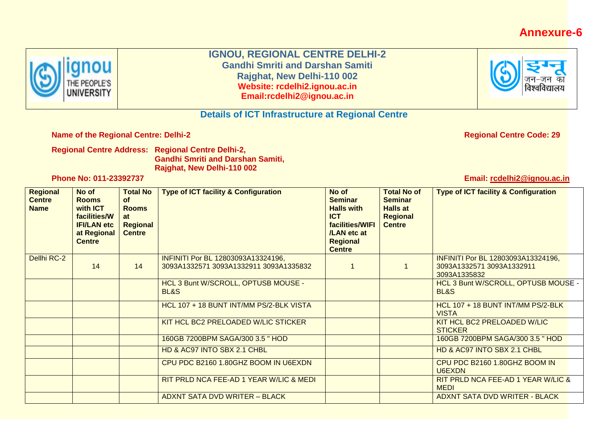## **Annexure-6**